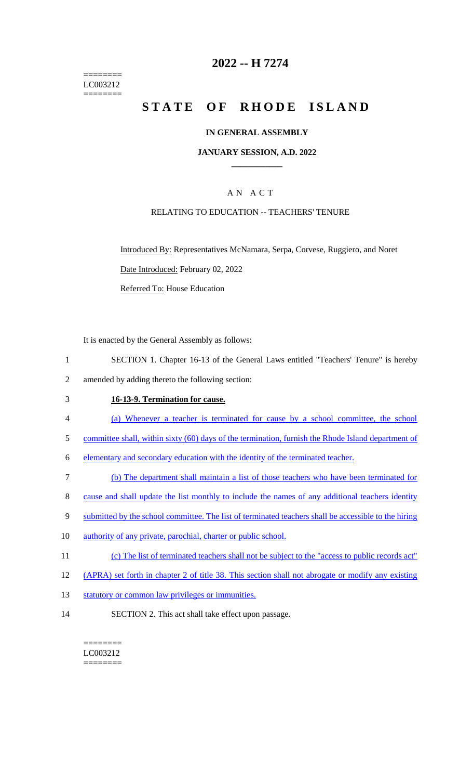======== LC003212 ========

# **2022 -- H 7274**

# **STATE OF RHODE ISLAND**

### **IN GENERAL ASSEMBLY**

#### **JANUARY SESSION, A.D. 2022 \_\_\_\_\_\_\_\_\_\_\_\_**

## A N A C T

### RELATING TO EDUCATION -- TEACHERS' TENURE

Introduced By: Representatives McNamara, Serpa, Corvese, Ruggiero, and Noret Date Introduced: February 02, 2022 Referred To: House Education

It is enacted by the General Assembly as follows:

- 1 SECTION 1. Chapter 16-13 of the General Laws entitled "Teachers' Tenure" is hereby
- 2 amended by adding thereto the following section:

# 3 **16-13-9. Termination for cause.**

- 4 (a) Whenever a teacher is terminated for cause by a school committee, the school
- 5 committee shall, within sixty (60) days of the termination, furnish the Rhode Island department of

6 elementary and secondary education with the identity of the terminated teacher.

7 (b) The department shall maintain a list of those teachers who have been terminated for

8 cause and shall update the list monthly to include the names of any additional teachers identity

- 9 submitted by the school committee. The list of terminated teachers shall be accessible to the hiring
- 10 authority of any private, parochial, charter or public school.
- 11 (c) The list of terminated teachers shall not be subject to the "access to public records act"
- 12 (APRA) set forth in chapter 2 of title 38. This section shall not abrogate or modify any existing
- 13 statutory or common law privileges or immunities.
- 14 SECTION 2. This act shall take effect upon passage.

======== LC003212 ========